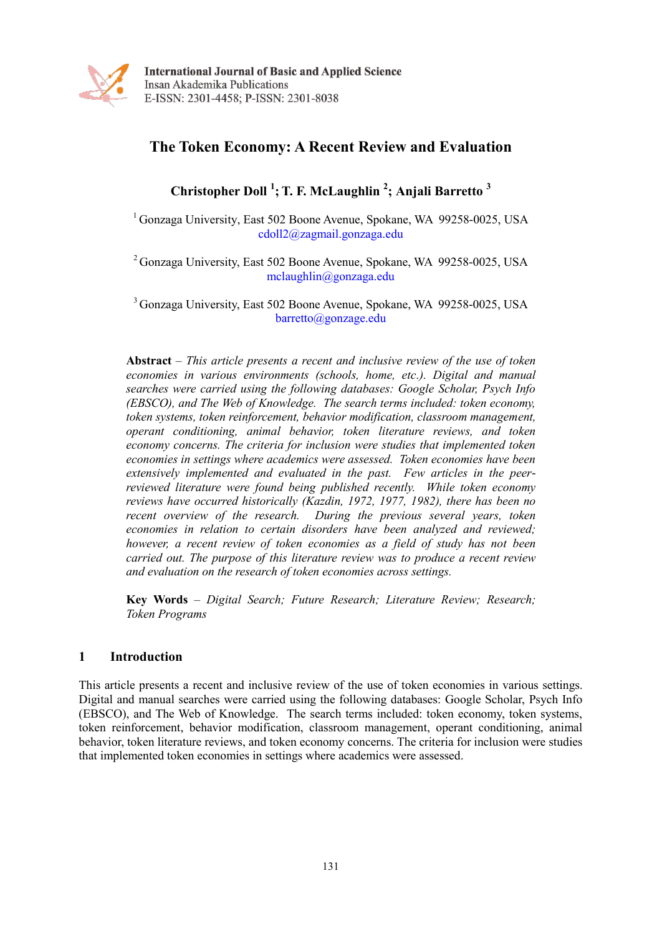

**International Journal of Basic and Applied Science** Insan Akademika Publications E-ISSN: 2301-4458; P-ISSN: 2301-8038

# **The Token Economy: A Recent Review and Evaluation**

**Christopher Doll <sup>1</sup> ; T. F. McLaughlin <sup>2</sup> ; Anjali Barretto <sup>3</sup>**

<sup>1</sup> Gonzaga University, East 502 Boone Avenue, Spokane, WA 99258-0025, USA cdoll2@zagmail.gonzaga.edu

<sup>2</sup> Gonzaga University, East 502 Boone Avenue, Spokane, WA 99258-0025, USA mclaughlin@gonzaga.edu

<sup>3</sup> Gonzaga University, East 502 Boone Avenue, Spokane, WA 99258-0025, USA barretto@gonzage.edu

**Abstract** *– This article presents a recent and inclusive review of the use of token economies in various environments (schools, home, etc.). Digital and manual searches were carried using the following databases: Google Scholar, Psych Info (EBSCO), and The Web of Knowledge. The search terms included: token economy, token systems, token reinforcement, behavior modification, classroom management, operant conditioning, animal behavior, token literature reviews, and token economy concerns. The criteria for inclusion were studies that implemented token economies in settings where academics were assessed. Token economies have been extensively implemented and evaluated in the past. Few articles in the peerreviewed literature were found being published recently. While token economy reviews have occurred historically (Kazdin, 1972, 1977, 1982), there has been no recent overview of the research. During the previous several years, token economies in relation to certain disorders have been analyzed and reviewed; however, a recent review of token economies as a field of study has not been carried out. The purpose of this literature review was to produce a recent review and evaluation on the research of token economies across settings.* 

**Key Words** *– Digital Search; Future Research; Literature Review; Research; Token Programs*

# **1 Introduction**

This article presents a recent and inclusive review of the use of token economies in various settings. Digital and manual searches were carried using the following databases: Google Scholar, Psych Info (EBSCO), and The Web of Knowledge. The search terms included: token economy, token systems, token reinforcement, behavior modification, classroom management, operant conditioning, animal behavior, token literature reviews, and token economy concerns. The criteria for inclusion were studies that implemented token economies in settings where academics were assessed.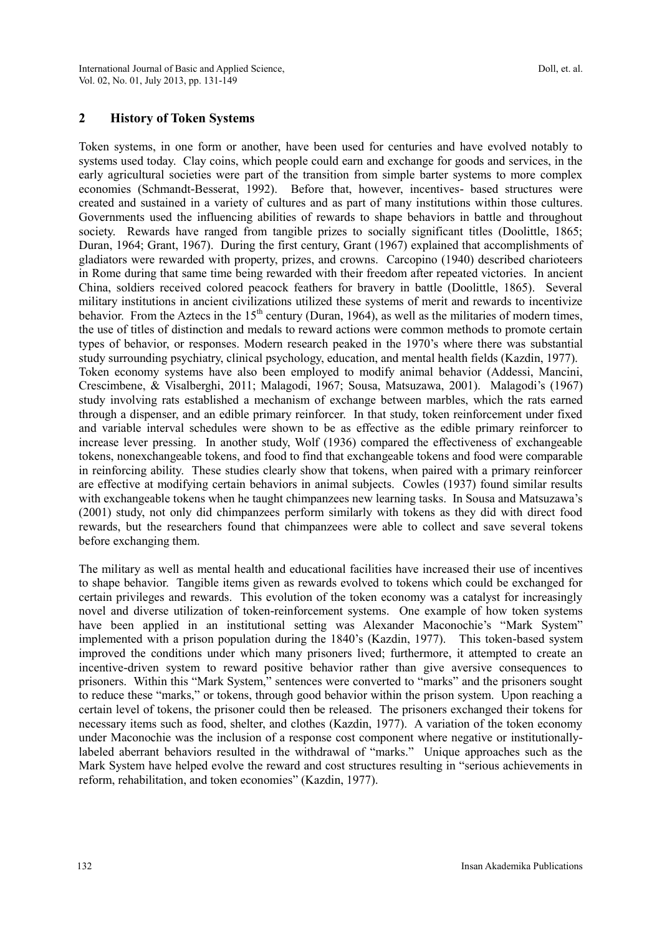# **2 History of Token Systems**

Token systems, in one form or another, have been used for centuries and have evolved notably to systems used today. Clay coins, which people could earn and exchange for goods and services, in the early agricultural societies were part of the transition from simple barter systems to more complex economies (Schmandt-Besserat, 1992). Before that, however, incentives- based structures were created and sustained in a variety of cultures and as part of many institutions within those cultures. Governments used the influencing abilities of rewards to shape behaviors in battle and throughout society. Rewards have ranged from tangible prizes to socially significant titles (Doolittle, 1865; Duran, 1964; Grant, 1967). During the first century, Grant (1967) explained that accomplishments of gladiators were rewarded with property, prizes, and crowns. Carcopino (1940) described charioteers in Rome during that same time being rewarded with their freedom after repeated victories. In ancient China, soldiers received colored peacock feathers for bravery in battle (Doolittle, 1865). Several military institutions in ancient civilizations utilized these systems of merit and rewards to incentivize behavior. From the Aztecs in the  $15<sup>th</sup>$  century (Duran, 1964), as well as the militaries of modern times, the use of titles of distinction and medals to reward actions were common methods to promote certain types of behavior, or responses. Modern research peaked in the 1970"s where there was substantial study surrounding psychiatry, clinical psychology, education, and mental health fields (Kazdin, 1977). Token economy systems have also been employed to modify animal behavior (Addessi, Mancini, Crescimbene, & Visalberghi, 2011; Malagodi, 1967; Sousa, Matsuzawa, 2001). Malagodi"s (1967) study involving rats established a mechanism of exchange between marbles, which the rats earned through a dispenser, and an edible primary reinforcer. In that study, token reinforcement under fixed and variable interval schedules were shown to be as effective as the edible primary reinforcer to increase lever pressing. In another study, Wolf (1936) compared the effectiveness of exchangeable tokens, nonexchangeable tokens, and food to find that exchangeable tokens and food were comparable in reinforcing ability. These studies clearly show that tokens, when paired with a primary reinforcer are effective at modifying certain behaviors in animal subjects. Cowles (1937) found similar results with exchangeable tokens when he taught chimpanzees new learning tasks. In Sousa and Matsuzawa's (2001) study, not only did chimpanzees perform similarly with tokens as they did with direct food rewards, but the researchers found that chimpanzees were able to collect and save several tokens before exchanging them.

The military as well as mental health and educational facilities have increased their use of incentives to shape behavior. Tangible items given as rewards evolved to tokens which could be exchanged for certain privileges and rewards. This evolution of the token economy was a catalyst for increasingly novel and diverse utilization of token-reinforcement systems. One example of how token systems have been applied in an institutional setting was Alexander Maconochie's "Mark System" implemented with a prison population during the 1840"s (Kazdin, 1977). This token-based system improved the conditions under which many prisoners lived; furthermore, it attempted to create an incentive-driven system to reward positive behavior rather than give aversive consequences to prisoners. Within this "Mark System," sentences were converted to "marks" and the prisoners sought to reduce these "marks," or tokens, through good behavior within the prison system. Upon reaching a certain level of tokens, the prisoner could then be released. The prisoners exchanged their tokens for necessary items such as food, shelter, and clothes (Kazdin, 1977). A variation of the token economy under Maconochie was the inclusion of a response cost component where negative or institutionallylabeled aberrant behaviors resulted in the withdrawal of "marks." Unique approaches such as the Mark System have helped evolve the reward and cost structures resulting in "serious achievements in reform, rehabilitation, and token economies" (Kazdin, 1977).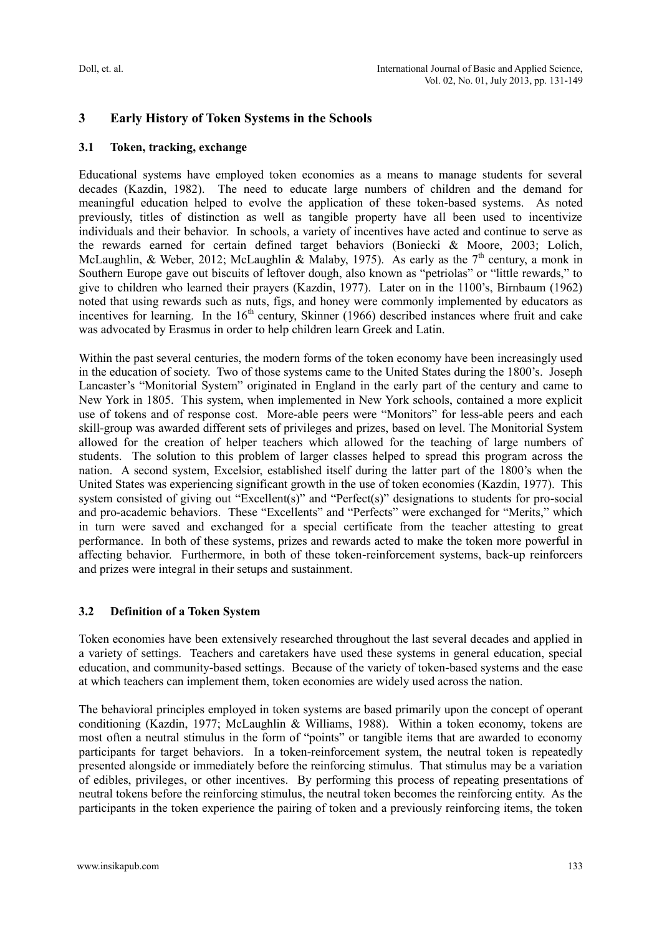# **3 Early History of Token Systems in the Schools**

#### **3.1 Token, tracking, exchange**

Educational systems have employed token economies as a means to manage students for several decades (Kazdin, 1982). The need to educate large numbers of children and the demand for meaningful education helped to evolve the application of these token-based systems. As noted previously, titles of distinction as well as tangible property have all been used to incentivize individuals and their behavior. In schools, a variety of incentives have acted and continue to serve as the rewards earned for certain defined target behaviors (Boniecki & Moore, 2003; Lolich, McLaughlin, & Weber, 2012; McLaughlin & Malaby, 1975). As early as the  $7<sup>th</sup>$  century, a monk in Southern Europe gave out biscuits of leftover dough, also known as "petriolas" or "little rewards," to give to children who learned their prayers (Kazdin, 1977). Later on in the 1100"s, Birnbaum (1962) noted that using rewards such as nuts, figs, and honey were commonly implemented by educators as incentives for learning. In the  $16<sup>th</sup>$  century, Skinner (1966) described instances where fruit and cake was advocated by Erasmus in order to help children learn Greek and Latin.

Within the past several centuries, the modern forms of the token economy have been increasingly used in the education of society. Two of those systems came to the United States during the 1800"s. Joseph Lancaster's "Monitorial System" originated in England in the early part of the century and came to New York in 1805. This system, when implemented in New York schools, contained a more explicit use of tokens and of response cost. More-able peers were "Monitors" for less-able peers and each skill-group was awarded different sets of privileges and prizes, based on level. The Monitorial System allowed for the creation of helper teachers which allowed for the teaching of large numbers of students. The solution to this problem of larger classes helped to spread this program across the nation. A second system, Excelsior, established itself during the latter part of the 1800"s when the United States was experiencing significant growth in the use of token economies (Kazdin, 1977). This system consisted of giving out "Excellent(s)" and "Perfect(s)" designations to students for pro-social and pro-academic behaviors. These "Excellents" and "Perfects" were exchanged for "Merits," which in turn were saved and exchanged for a special certificate from the teacher attesting to great performance. In both of these systems, prizes and rewards acted to make the token more powerful in affecting behavior. Furthermore, in both of these token-reinforcement systems, back-up reinforcers and prizes were integral in their setups and sustainment.

# **3.2 Definition of a Token System**

Token economies have been extensively researched throughout the last several decades and applied in a variety of settings. Teachers and caretakers have used these systems in general education, special education, and community-based settings. Because of the variety of token-based systems and the ease at which teachers can implement them, token economies are widely used across the nation.

The behavioral principles employed in token systems are based primarily upon the concept of operant conditioning (Kazdin, 1977; McLaughlin & Williams, 1988). Within a token economy, tokens are most often a neutral stimulus in the form of "points" or tangible items that are awarded to economy participants for target behaviors. In a token-reinforcement system, the neutral token is repeatedly presented alongside or immediately before the reinforcing stimulus. That stimulus may be a variation of edibles, privileges, or other incentives. By performing this process of repeating presentations of neutral tokens before the reinforcing stimulus, the neutral token becomes the reinforcing entity. As the participants in the token experience the pairing of token and a previously reinforcing items, the token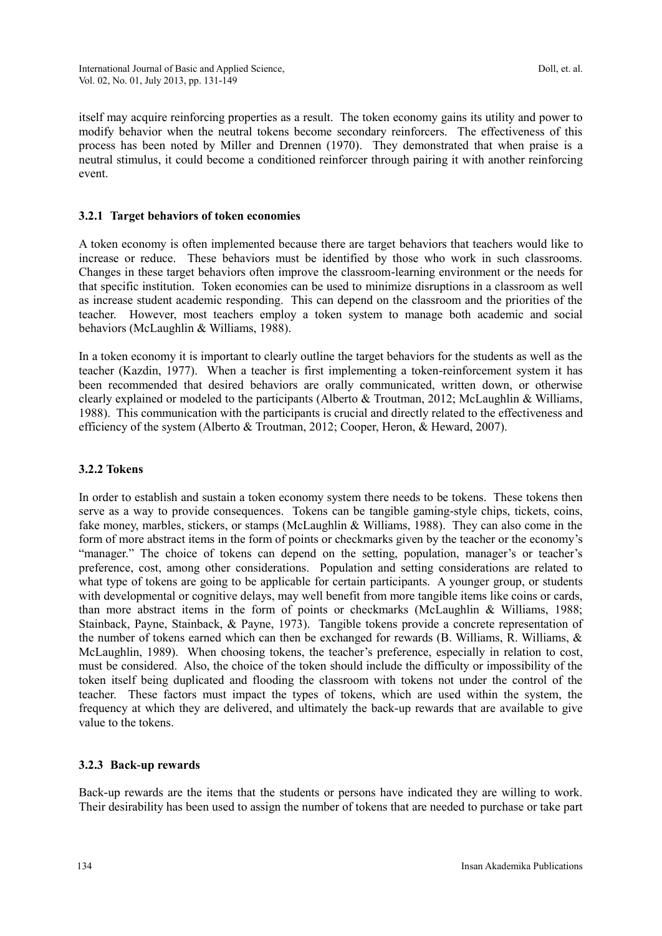itself may acquire reinforcing properties as a result. The token economy gains its utility and power to modify behavior when the neutral tokens become secondary reinforcers. The effectiveness of this process has been noted by Miller and Drennen (1970). They demonstrated that when praise is a neutral stimulus, it could become a conditioned reinforcer through pairing it with another reinforcing event.

#### **3.2.1 Target behaviors of token economies**

A token economy is often implemented because there are target behaviors that teachers would like to increase or reduce. These behaviors must be identified by those who work in such classrooms. Changes in these target behaviors often improve the classroom-learning environment or the needs for that specific institution. Token economies can be used to minimize disruptions in a classroom as well as increase student academic responding. This can depend on the classroom and the priorities of the teacher. However, most teachers employ a token system to manage both academic and social behaviors (McLaughlin & Williams, 1988).

In a token economy it is important to clearly outline the target behaviors for the students as well as the teacher (Kazdin, 1977). When a teacher is first implementing a token-reinforcement system it has been recommended that desired behaviors are orally communicated, written down, or otherwise clearly explained or modeled to the participants (Alberto & Troutman, 2012; McLaughlin & Williams, 1988). This communication with the participants is crucial and directly related to the effectiveness and efficiency of the system (Alberto & Troutman, 2012; Cooper, Heron, & Heward, 2007).

#### **3.2.2 Tokens**

In order to establish and sustain a token economy system there needs to be tokens. These tokens then serve as a way to provide consequences. Tokens can be tangible gaming-style chips, tickets, coins, fake money, marbles, stickers, or stamps (McLaughlin & Williams, 1988). They can also come in the form of more abstract items in the form of points or checkmarks given by the teacher or the economy"s "manager." The choice of tokens can depend on the setting, population, manager's or teacher's preference, cost, among other considerations. Population and setting considerations are related to what type of tokens are going to be applicable for certain participants. A younger group, or students with developmental or cognitive delays, may well benefit from more tangible items like coins or cards, than more abstract items in the form of points or checkmarks (McLaughlin & Williams, 1988; Stainback, Payne, Stainback, & Payne, 1973). Tangible tokens provide a concrete representation of the number of tokens earned which can then be exchanged for rewards (B. Williams, R. Williams, & McLaughlin, 1989). When choosing tokens, the teacher"s preference, especially in relation to cost, must be considered. Also, the choice of the token should include the difficulty or impossibility of the token itself being duplicated and flooding the classroom with tokens not under the control of the teacher. These factors must impact the types of tokens, which are used within the system, the frequency at which they are delivered, and ultimately the back-up rewards that are available to give value to the tokens.

#### **3.2.3 Back-up rewards**

Back-up rewards are the items that the students or persons have indicated they are willing to work. Their desirability has been used to assign the number of tokens that are needed to purchase or take part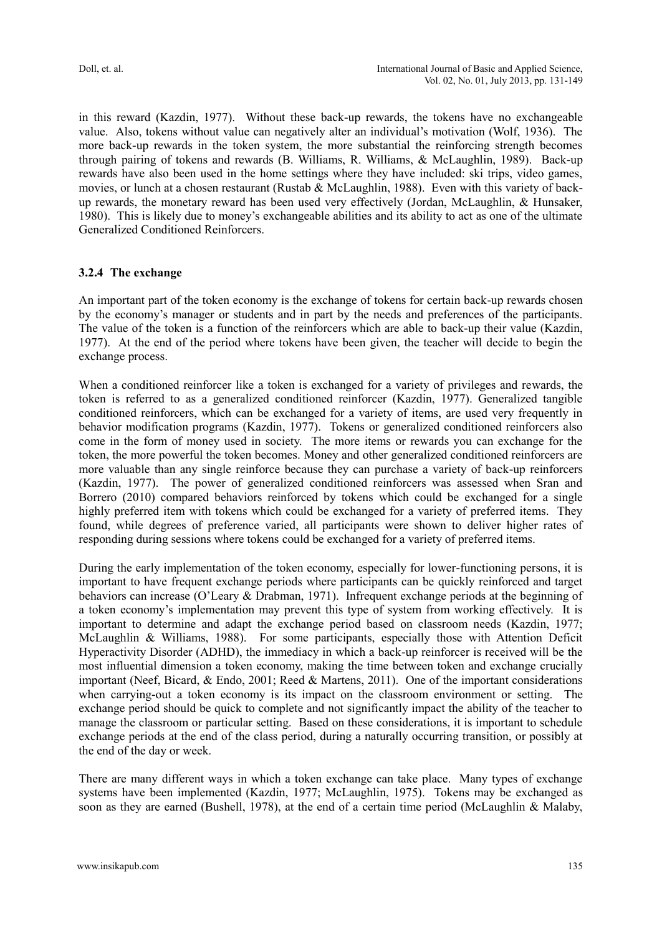in this reward (Kazdin, 1977). Without these back-up rewards, the tokens have no exchangeable value. Also, tokens without value can negatively alter an individual"s motivation (Wolf, 1936). The more back-up rewards in the token system, the more substantial the reinforcing strength becomes through pairing of tokens and rewards (B. Williams, R. Williams, & McLaughlin, 1989). Back-up rewards have also been used in the home settings where they have included: ski trips, video games, movies, or lunch at a chosen restaurant (Rustab & McLaughlin, 1988). Even with this variety of backup rewards, the monetary reward has been used very effectively (Jordan, McLaughlin, & Hunsaker, 1980). This is likely due to money"s exchangeable abilities and its ability to act as one of the ultimate Generalized Conditioned Reinforcers.

# **3.2.4 The exchange**

An important part of the token economy is the exchange of tokens for certain back-up rewards chosen by the economy"s manager or students and in part by the needs and preferences of the participants. The value of the token is a function of the reinforcers which are able to back-up their value (Kazdin, 1977). At the end of the period where tokens have been given, the teacher will decide to begin the exchange process.

When a conditioned reinforcer like a token is exchanged for a variety of privileges and rewards, the token is referred to as a generalized conditioned reinforcer (Kazdin, 1977). Generalized tangible conditioned reinforcers, which can be exchanged for a variety of items, are used very frequently in behavior modification programs (Kazdin, 1977). Tokens or generalized conditioned reinforcers also come in the form of money used in society. The more items or rewards you can exchange for the token, the more powerful the token becomes. Money and other generalized conditioned reinforcers are more valuable than any single reinforce because they can purchase a variety of back-up reinforcers (Kazdin, 1977). The power of generalized conditioned reinforcers was assessed when Sran and Borrero (2010) compared behaviors reinforced by tokens which could be exchanged for a single highly preferred item with tokens which could be exchanged for a variety of preferred items. They found, while degrees of preference varied, all participants were shown to deliver higher rates of responding during sessions where tokens could be exchanged for a variety of preferred items.

During the early implementation of the token economy, especially for lower-functioning persons, it is important to have frequent exchange periods where participants can be quickly reinforced and target behaviors can increase (O"Leary & Drabman, 1971). Infrequent exchange periods at the beginning of a token economy's implementation may prevent this type of system from working effectively. It is important to determine and adapt the exchange period based on classroom needs (Kazdin, 1977; McLaughlin & Williams, 1988). For some participants, especially those with Attention Deficit Hyperactivity Disorder (ADHD), the immediacy in which a back-up reinforcer is received will be the most influential dimension a token economy, making the time between token and exchange crucially important (Neef, Bicard, & Endo, 2001; Reed & Martens, 2011). One of the important considerations when carrying-out a token economy is its impact on the classroom environment or setting. The exchange period should be quick to complete and not significantly impact the ability of the teacher to manage the classroom or particular setting. Based on these considerations, it is important to schedule exchange periods at the end of the class period, during a naturally occurring transition, or possibly at the end of the day or week.

There are many different ways in which a token exchange can take place. Many types of exchange systems have been implemented (Kazdin, 1977; McLaughlin, 1975). Tokens may be exchanged as soon as they are earned (Bushell, 1978), at the end of a certain time period (McLaughlin & Malaby,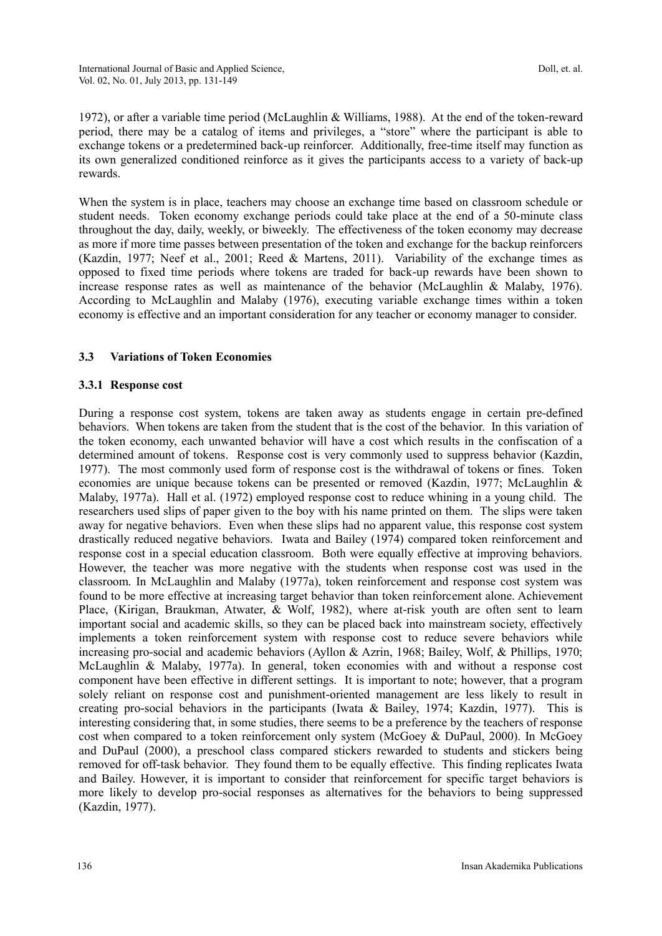1972), or after a variable time period (McLaughlin & Williams, 1988). At the end of the token-reward period, there may be a catalog of items and privileges, a "store" where the participant is able to exchange tokens or a predetermined back-up reinforcer. Additionally, free-time itself may function as its own generalized conditioned reinforce as it gives the participants access to a variety of back-up rewards.

When the system is in place, teachers may choose an exchange time based on classroom schedule or student needs. Token economy exchange periods could take place at the end of a 50-minute class throughout the day, daily, weekly, or biweekly. The effectiveness of the token economy may decrease as more if more time passes between presentation of the token and exchange for the backup reinforcers (Kazdin, 1977; Neef et al., 2001; Reed & Martens, 2011). Variability of the exchange times as opposed to fixed time periods where tokens are traded for back-up rewards have been shown to increase response rates as well as maintenance of the behavior (McLaughlin & Malaby, 1976). According to McLaughlin and Malaby (1976), executing variable exchange times within a token economy is effective and an important consideration for any teacher or economy manager to consider.

# **3.3 Variations of Token Economies**

#### **3.3.1 Response cost**

During a response cost system, tokens are taken away as students engage in certain pre-defined behaviors. When tokens are taken from the student that is the cost of the behavior. In this variation of the token economy, each unwanted behavior will have a cost which results in the confiscation of a determined amount of tokens. Response cost is very commonly used to suppress behavior (Kazdin, 1977). The most commonly used form of response cost is the withdrawal of tokens or fines. Token economies are unique because tokens can be presented or removed (Kazdin, 1977; McLaughlin & Malaby, 1977a). Hall et al. (1972) employed response cost to reduce whining in a young child. The researchers used slips of paper given to the boy with his name printed on them. The slips were taken away for negative behaviors. Even when these slips had no apparent value, this response cost system drastically reduced negative behaviors. Iwata and Bailey (1974) compared token reinforcement and response cost in a special education classroom. Both were equally effective at improving behaviors. However, the teacher was more negative with the students when response cost was used in the classroom. In McLaughlin and Malaby (1977a), token reinforcement and response cost system was found to be more effective at increasing target behavior than token reinforcement alone. Achievement Place, (Kirigan, Braukman, Atwater, & Wolf, 1982), where at-risk youth are often sent to learn important social and academic skills, so they can be placed back into mainstream society, effectively implements a token reinforcement system with response cost to reduce severe behaviors while increasing pro-social and academic behaviors (Ayllon & Azrin, 1968; Bailey, Wolf, & Phillips, 1970; McLaughlin & Malaby, 1977a). In general, token economies with and without a response cost component have been effective in different settings. It is important to note; however, that a program solely reliant on response cost and punishment-oriented management are less likely to result in creating pro-social behaviors in the participants (Iwata & Bailey, 1974; Kazdin, 1977). This is interesting considering that, in some studies, there seems to be a preference by the teachers of response cost when compared to a token reinforcement only system (McGoey & DuPaul, 2000). In McGoey and DuPaul (2000), a preschool class compared stickers rewarded to students and stickers being removed for off-task behavior. They found them to be equally effective. This finding replicates Iwata and Bailey. However, it is important to consider that reinforcement for specific target behaviors is more likely to develop pro-social responses as alternatives for the behaviors to being suppressed (Kazdin, 1977).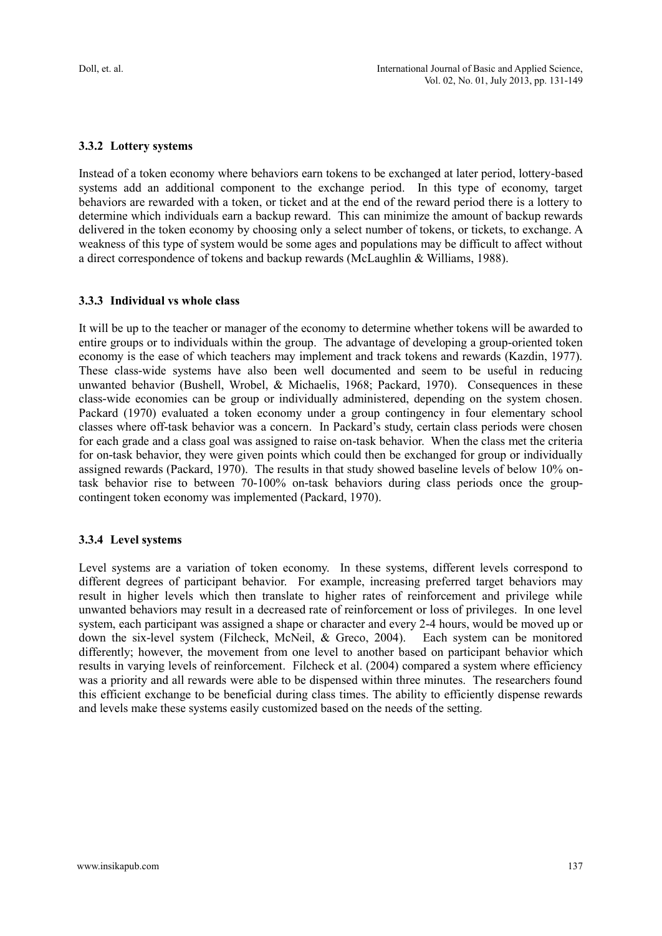# **3.3.2 Lottery systems**

Instead of a token economy where behaviors earn tokens to be exchanged at later period, lottery-based systems add an additional component to the exchange period. In this type of economy, target behaviors are rewarded with a token, or ticket and at the end of the reward period there is a lottery to determine which individuals earn a backup reward. This can minimize the amount of backup rewards delivered in the token economy by choosing only a select number of tokens, or tickets, to exchange. A weakness of this type of system would be some ages and populations may be difficult to affect without a direct correspondence of tokens and backup rewards (McLaughlin & Williams, 1988).

# **3.3.3 Individual vs whole class**

It will be up to the teacher or manager of the economy to determine whether tokens will be awarded to entire groups or to individuals within the group. The advantage of developing a group-oriented token economy is the ease of which teachers may implement and track tokens and rewards (Kazdin, 1977). These class-wide systems have also been well documented and seem to be useful in reducing unwanted behavior (Bushell, Wrobel, & Michaelis, 1968; Packard, 1970). Consequences in these class-wide economies can be group or individually administered, depending on the system chosen. Packard (1970) evaluated a token economy under a group contingency in four elementary school classes where off-task behavior was a concern. In Packard"s study, certain class periods were chosen for each grade and a class goal was assigned to raise on-task behavior. When the class met the criteria for on-task behavior, they were given points which could then be exchanged for group or individually assigned rewards (Packard, 1970). The results in that study showed baseline levels of below 10% ontask behavior rise to between 70-100% on-task behaviors during class periods once the groupcontingent token economy was implemented (Packard, 1970).

#### **3.3.4 Level systems**

Level systems are a variation of token economy. In these systems, different levels correspond to different degrees of participant behavior. For example, increasing preferred target behaviors may result in higher levels which then translate to higher rates of reinforcement and privilege while unwanted behaviors may result in a decreased rate of reinforcement or loss of privileges. In one level system, each participant was assigned a shape or character and every 2-4 hours, would be moved up or down the six-level system (Filcheck, McNeil, & Greco, 2004). Each system can be monitored differently; however, the movement from one level to another based on participant behavior which results in varying levels of reinforcement. Filcheck et al. (2004) compared a system where efficiency was a priority and all rewards were able to be dispensed within three minutes. The researchers found this efficient exchange to be beneficial during class times. The ability to efficiently dispense rewards and levels make these systems easily customized based on the needs of the setting.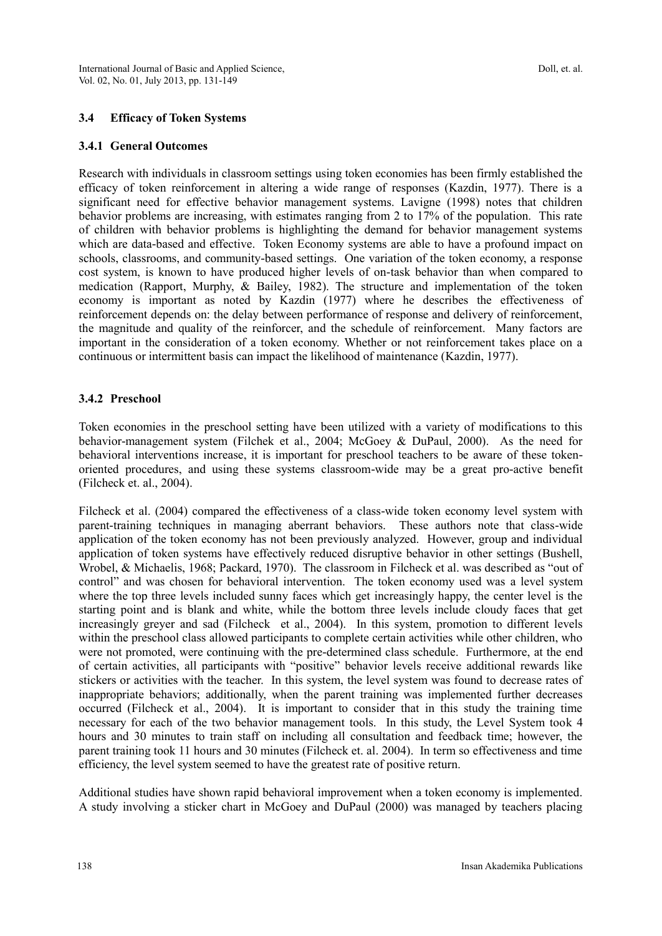#### **3.4 Efficacy of Token Systems**

#### **3.4.1 General Outcomes**

Research with individuals in classroom settings using token economies has been firmly established the efficacy of token reinforcement in altering a wide range of responses (Kazdin, 1977). There is a significant need for effective behavior management systems. Lavigne (1998) notes that children behavior problems are increasing, with estimates ranging from 2 to 17% of the population. This rate of children with behavior problems is highlighting the demand for behavior management systems which are data-based and effective. Token Economy systems are able to have a profound impact on schools, classrooms, and community-based settings. One variation of the token economy, a response cost system, is known to have produced higher levels of on-task behavior than when compared to medication (Rapport, Murphy, & Bailey, 1982). The structure and implementation of the token economy is important as noted by Kazdin (1977) where he describes the effectiveness of reinforcement depends on: the delay between performance of response and delivery of reinforcement, the magnitude and quality of the reinforcer, and the schedule of reinforcement. Many factors are important in the consideration of a token economy. Whether or not reinforcement takes place on a continuous or intermittent basis can impact the likelihood of maintenance (Kazdin, 1977).

#### **3.4.2 Preschool**

Token economies in the preschool setting have been utilized with a variety of modifications to this behavior-management system (Filchek et al., 2004; McGoey & DuPaul, 2000). As the need for behavioral interventions increase, it is important for preschool teachers to be aware of these tokenoriented procedures, and using these systems classroom-wide may be a great pro-active benefit (Filcheck et. al., 2004).

Filcheck et al. (2004) compared the effectiveness of a class-wide token economy level system with parent-training techniques in managing aberrant behaviors. These authors note that class-wide application of the token economy has not been previously analyzed. However, group and individual application of token systems have effectively reduced disruptive behavior in other settings (Bushell, Wrobel, & Michaelis, 1968; Packard, 1970). The classroom in Filcheck et al. was described as "out of control" and was chosen for behavioral intervention. The token economy used was a level system where the top three levels included sunny faces which get increasingly happy, the center level is the starting point and is blank and white, while the bottom three levels include cloudy faces that get increasingly greyer and sad (Filcheck et al., 2004). In this system, promotion to different levels within the preschool class allowed participants to complete certain activities while other children, who were not promoted, were continuing with the pre-determined class schedule. Furthermore, at the end of certain activities, all participants with "positive" behavior levels receive additional rewards like stickers or activities with the teacher. In this system, the level system was found to decrease rates of inappropriate behaviors; additionally, when the parent training was implemented further decreases occurred (Filcheck et al., 2004). It is important to consider that in this study the training time necessary for each of the two behavior management tools. In this study, the Level System took 4 hours and 30 minutes to train staff on including all consultation and feedback time; however, the parent training took 11 hours and 30 minutes (Filcheck et. al. 2004). In term so effectiveness and time efficiency, the level system seemed to have the greatest rate of positive return.

Additional studies have shown rapid behavioral improvement when a token economy is implemented. A study involving a sticker chart in McGoey and DuPaul (2000) was managed by teachers placing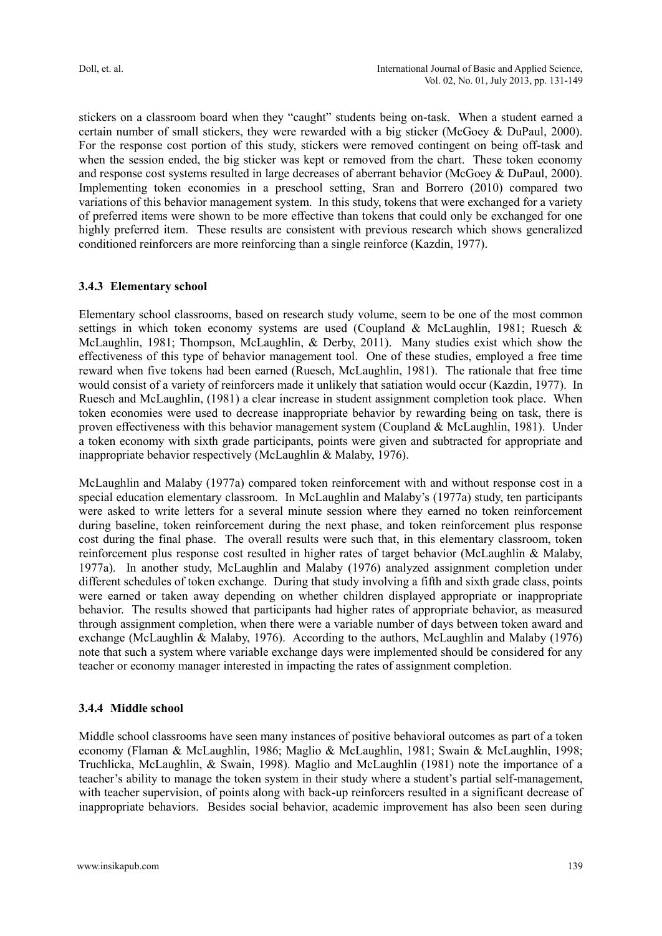stickers on a classroom board when they "caught" students being on-task. When a student earned a certain number of small stickers, they were rewarded with a big sticker (McGoey & DuPaul, 2000). For the response cost portion of this study, stickers were removed contingent on being off-task and when the session ended, the big sticker was kept or removed from the chart. These token economy and response cost systems resulted in large decreases of aberrant behavior (McGoey & DuPaul, 2000). Implementing token economies in a preschool setting, Sran and Borrero (2010) compared two variations of this behavior management system. In this study, tokens that were exchanged for a variety of preferred items were shown to be more effective than tokens that could only be exchanged for one highly preferred item. These results are consistent with previous research which shows generalized conditioned reinforcers are more reinforcing than a single reinforce (Kazdin, 1977).

#### **3.4.3 Elementary school**

Elementary school classrooms, based on research study volume, seem to be one of the most common settings in which token economy systems are used (Coupland & McLaughlin, 1981; Ruesch & McLaughlin, 1981; Thompson, McLaughlin, & Derby, 2011). Many studies exist which show the effectiveness of this type of behavior management tool. One of these studies, employed a free time reward when five tokens had been earned (Ruesch, McLaughlin, 1981). The rationale that free time would consist of a variety of reinforcers made it unlikely that satiation would occur (Kazdin, 1977). In Ruesch and McLaughlin, (1981) a clear increase in student assignment completion took place. When token economies were used to decrease inappropriate behavior by rewarding being on task, there is proven effectiveness with this behavior management system (Coupland & McLaughlin, 1981). Under a token economy with sixth grade participants, points were given and subtracted for appropriate and inappropriate behavior respectively (McLaughlin & Malaby, 1976).

McLaughlin and Malaby (1977a) compared token reinforcement with and without response cost in a special education elementary classroom. In McLaughlin and Malaby"s (1977a) study, ten participants were asked to write letters for a several minute session where they earned no token reinforcement during baseline, token reinforcement during the next phase, and token reinforcement plus response cost during the final phase. The overall results were such that, in this elementary classroom, token reinforcement plus response cost resulted in higher rates of target behavior (McLaughlin & Malaby, 1977a). In another study, McLaughlin and Malaby (1976) analyzed assignment completion under different schedules of token exchange. During that study involving a fifth and sixth grade class, points were earned or taken away depending on whether children displayed appropriate or inappropriate behavior. The results showed that participants had higher rates of appropriate behavior, as measured through assignment completion, when there were a variable number of days between token award and exchange (McLaughlin & Malaby, 1976). According to the authors, McLaughlin and Malaby (1976) note that such a system where variable exchange days were implemented should be considered for any teacher or economy manager interested in impacting the rates of assignment completion.

#### **3.4.4 Middle school**

Middle school classrooms have seen many instances of positive behavioral outcomes as part of a token economy (Flaman & McLaughlin, 1986; Maglio & McLaughlin, 1981; Swain & McLaughlin, 1998; Truchlicka, McLaughlin, & Swain, 1998). Maglio and McLaughlin (1981) note the importance of a teacher's ability to manage the token system in their study where a student's partial self-management, with teacher supervision, of points along with back-up reinforcers resulted in a significant decrease of inappropriate behaviors. Besides social behavior, academic improvement has also been seen during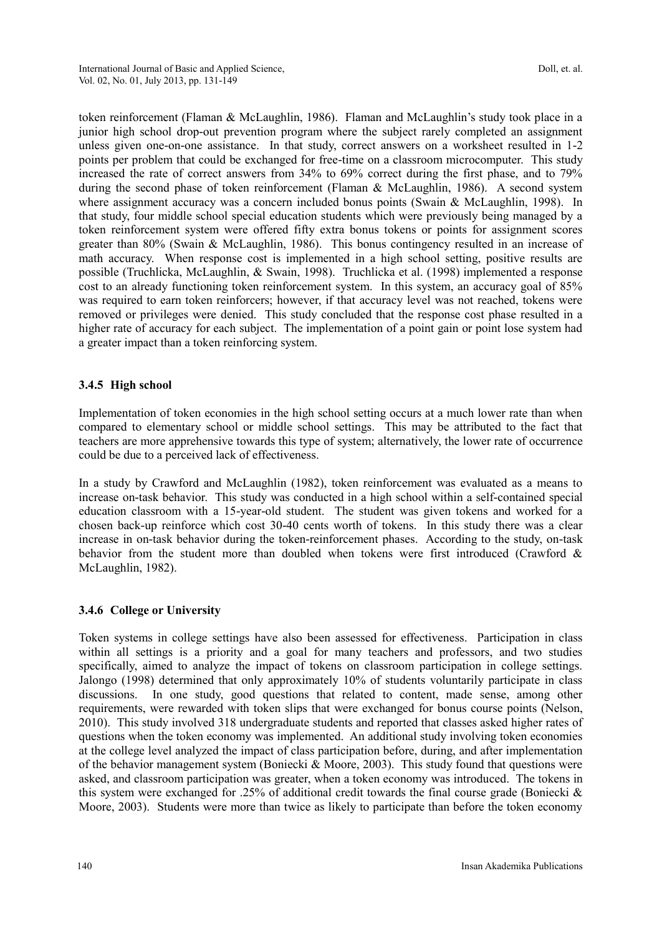token reinforcement (Flaman & McLaughlin, 1986). Flaman and McLaughlin"s study took place in a junior high school drop-out prevention program where the subject rarely completed an assignment unless given one-on-one assistance. In that study, correct answers on a worksheet resulted in 1-2 points per problem that could be exchanged for free-time on a classroom microcomputer. This study increased the rate of correct answers from 34% to 69% correct during the first phase, and to 79% during the second phase of token reinforcement (Flaman & McLaughlin, 1986). A second system where assignment accuracy was a concern included bonus points (Swain & McLaughlin, 1998). In that study, four middle school special education students which were previously being managed by a token reinforcement system were offered fifty extra bonus tokens or points for assignment scores greater than 80% (Swain & McLaughlin, 1986). This bonus contingency resulted in an increase of math accuracy. When response cost is implemented in a high school setting, positive results are possible (Truchlicka, McLaughlin, & Swain, 1998). Truchlicka et al. (1998) implemented a response cost to an already functioning token reinforcement system. In this system, an accuracy goal of 85% was required to earn token reinforcers; however, if that accuracy level was not reached, tokens were removed or privileges were denied. This study concluded that the response cost phase resulted in a higher rate of accuracy for each subject. The implementation of a point gain or point lose system had a greater impact than a token reinforcing system.

#### **3.4.5 High school**

Implementation of token economies in the high school setting occurs at a much lower rate than when compared to elementary school or middle school settings. This may be attributed to the fact that teachers are more apprehensive towards this type of system; alternatively, the lower rate of occurrence could be due to a perceived lack of effectiveness.

In a study by Crawford and McLaughlin (1982), token reinforcement was evaluated as a means to increase on-task behavior. This study was conducted in a high school within a self-contained special education classroom with a 15-year-old student. The student was given tokens and worked for a chosen back-up reinforce which cost 30-40 cents worth of tokens. In this study there was a clear increase in on-task behavior during the token-reinforcement phases. According to the study, on-task behavior from the student more than doubled when tokens were first introduced (Crawford & McLaughlin, 1982).

#### **3.4.6 College or University**

Token systems in college settings have also been assessed for effectiveness. Participation in class within all settings is a priority and a goal for many teachers and professors, and two studies specifically, aimed to analyze the impact of tokens on classroom participation in college settings. Jalongo (1998) determined that only approximately 10% of students voluntarily participate in class discussions. In one study, good questions that related to content, made sense, among other requirements, were rewarded with token slips that were exchanged for bonus course points (Nelson, 2010). This study involved 318 undergraduate students and reported that classes asked higher rates of questions when the token economy was implemented. An additional study involving token economies at the college level analyzed the impact of class participation before, during, and after implementation of the behavior management system (Boniecki & Moore, 2003). This study found that questions were asked, and classroom participation was greater, when a token economy was introduced. The tokens in this system were exchanged for .25% of additional credit towards the final course grade (Boniecki & Moore, 2003). Students were more than twice as likely to participate than before the token economy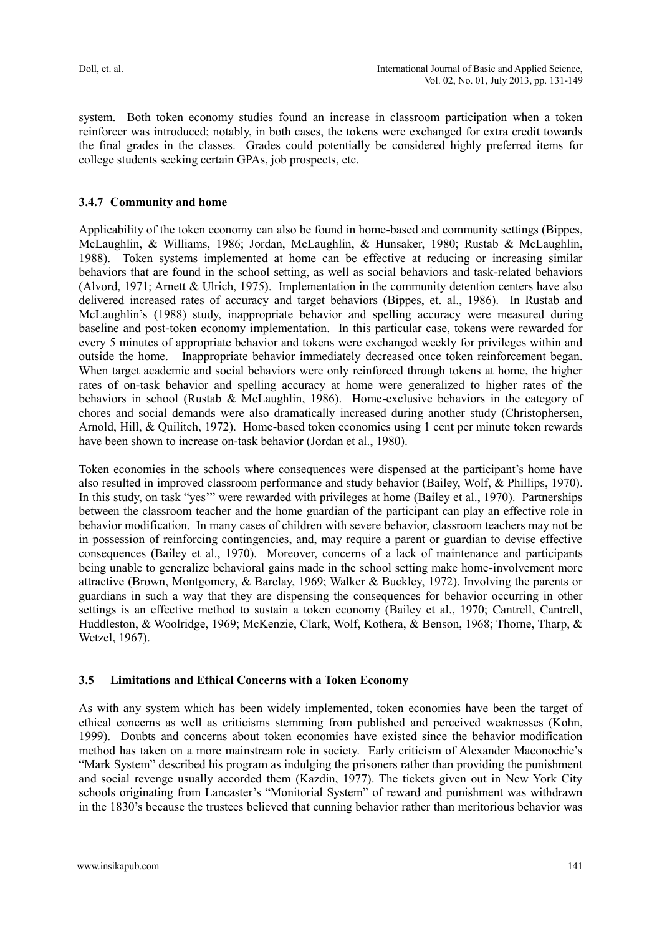system. Both token economy studies found an increase in classroom participation when a token reinforcer was introduced; notably, in both cases, the tokens were exchanged for extra credit towards the final grades in the classes. Grades could potentially be considered highly preferred items for college students seeking certain GPAs, job prospects, etc.

# **3.4.7 Community and home**

Applicability of the token economy can also be found in home-based and community settings (Bippes, McLaughlin, & Williams, 1986; Jordan, McLaughlin, & Hunsaker, 1980; Rustab & McLaughlin, 1988). Token systems implemented at home can be effective at reducing or increasing similar behaviors that are found in the school setting, as well as social behaviors and task-related behaviors (Alvord, 1971; Arnett & Ulrich, 1975). Implementation in the community detention centers have also delivered increased rates of accuracy and target behaviors (Bippes, et. al., 1986). In Rustab and McLaughlin"s (1988) study, inappropriate behavior and spelling accuracy were measured during baseline and post-token economy implementation. In this particular case, tokens were rewarded for every 5 minutes of appropriate behavior and tokens were exchanged weekly for privileges within and outside the home. Inappropriate behavior immediately decreased once token reinforcement began. When target academic and social behaviors were only reinforced through tokens at home, the higher rates of on-task behavior and spelling accuracy at home were generalized to higher rates of the behaviors in school (Rustab & McLaughlin, 1986). Home-exclusive behaviors in the category of chores and social demands were also dramatically increased during another study (Christophersen, Arnold, Hill, & Quilitch, 1972). Home-based token economies using 1 cent per minute token rewards have been shown to increase on-task behavior (Jordan et al., 1980).

Token economies in the schools where consequences were dispensed at the participant"s home have also resulted in improved classroom performance and study behavior (Bailey, Wolf, & Phillips, 1970). In this study, on task "yes"" were rewarded with privileges at home (Bailey et al., 1970). Partnerships between the classroom teacher and the home guardian of the participant can play an effective role in behavior modification. In many cases of children with severe behavior, classroom teachers may not be in possession of reinforcing contingencies, and, may require a parent or guardian to devise effective consequences (Bailey et al., 1970). Moreover, concerns of a lack of maintenance and participants being unable to generalize behavioral gains made in the school setting make home-involvement more attractive (Brown, Montgomery, & Barclay, 1969; Walker & Buckley, 1972). Involving the parents or guardians in such a way that they are dispensing the consequences for behavior occurring in other settings is an effective method to sustain a token economy (Bailey et al., 1970; Cantrell, Cantrell, Huddleston, & Woolridge, 1969; McKenzie, Clark, Wolf, Kothera, & Benson, 1968; Thorne, Tharp, & Wetzel, 1967).

#### **3.5 Limitations and Ethical Concerns with a Token Economy**

As with any system which has been widely implemented, token economies have been the target of ethical concerns as well as criticisms stemming from published and perceived weaknesses (Kohn, 1999). Doubts and concerns about token economies have existed since the behavior modification method has taken on a more mainstream role in society. Early criticism of Alexander Maconochie"s "Mark System" described his program as indulging the prisoners rather than providing the punishment and social revenge usually accorded them (Kazdin, 1977). The tickets given out in New York City schools originating from Lancaster"s "Monitorial System" of reward and punishment was withdrawn in the 1830"s because the trustees believed that cunning behavior rather than meritorious behavior was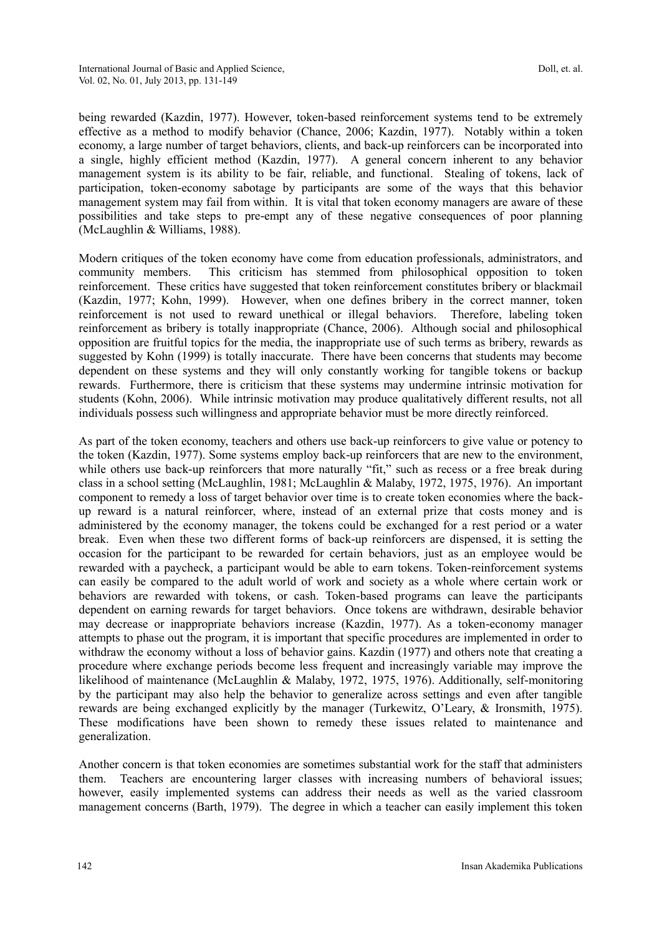being rewarded (Kazdin, 1977). However, token-based reinforcement systems tend to be extremely effective as a method to modify behavior (Chance, 2006; Kazdin, 1977). Notably within a token economy, a large number of target behaviors, clients, and back-up reinforcers can be incorporated into a single, highly efficient method (Kazdin, 1977). A general concern inherent to any behavior management system is its ability to be fair, reliable, and functional. Stealing of tokens, lack of participation, token-economy sabotage by participants are some of the ways that this behavior management system may fail from within. It is vital that token economy managers are aware of these possibilities and take steps to pre-empt any of these negative consequences of poor planning (McLaughlin & Williams, 1988).

Modern critiques of the token economy have come from education professionals, administrators, and community members. This criticism has stemmed from philosophical opposition to token reinforcement. These critics have suggested that token reinforcement constitutes bribery or blackmail (Kazdin, 1977; Kohn, 1999). However, when one defines bribery in the correct manner, token reinforcement is not used to reward unethical or illegal behaviors. Therefore, labeling token reinforcement as bribery is totally inappropriate (Chance, 2006). Although social and philosophical opposition are fruitful topics for the media, the inappropriate use of such terms as bribery, rewards as suggested by Kohn (1999) is totally inaccurate. There have been concerns that students may become dependent on these systems and they will only constantly working for tangible tokens or backup rewards. Furthermore, there is criticism that these systems may undermine intrinsic motivation for students (Kohn, 2006). While intrinsic motivation may produce qualitatively different results, not all individuals possess such willingness and appropriate behavior must be more directly reinforced.

As part of the token economy, teachers and others use back-up reinforcers to give value or potency to the token (Kazdin, 1977). Some systems employ back-up reinforcers that are new to the environment, while others use back-up reinforcers that more naturally "fit," such as recess or a free break during class in a school setting (McLaughlin, 1981; McLaughlin & Malaby, 1972, 1975, 1976). An important component to remedy a loss of target behavior over time is to create token economies where the backup reward is a natural reinforcer, where, instead of an external prize that costs money and is administered by the economy manager, the tokens could be exchanged for a rest period or a water break. Even when these two different forms of back-up reinforcers are dispensed, it is setting the occasion for the participant to be rewarded for certain behaviors, just as an employee would be rewarded with a paycheck, a participant would be able to earn tokens. Token-reinforcement systems can easily be compared to the adult world of work and society as a whole where certain work or behaviors are rewarded with tokens, or cash. Token-based programs can leave the participants dependent on earning rewards for target behaviors. Once tokens are withdrawn, desirable behavior may decrease or inappropriate behaviors increase (Kazdin, 1977). As a token-economy manager attempts to phase out the program, it is important that specific procedures are implemented in order to withdraw the economy without a loss of behavior gains. Kazdin (1977) and others note that creating a procedure where exchange periods become less frequent and increasingly variable may improve the likelihood of maintenance (McLaughlin & Malaby, 1972, 1975, 1976). Additionally, self-monitoring by the participant may also help the behavior to generalize across settings and even after tangible rewards are being exchanged explicitly by the manager (Turkewitz, O"Leary, & Ironsmith, 1975). These modifications have been shown to remedy these issues related to maintenance and generalization.

Another concern is that token economies are sometimes substantial work for the staff that administers them. Teachers are encountering larger classes with increasing numbers of behavioral issues; however, easily implemented systems can address their needs as well as the varied classroom management concerns (Barth, 1979). The degree in which a teacher can easily implement this token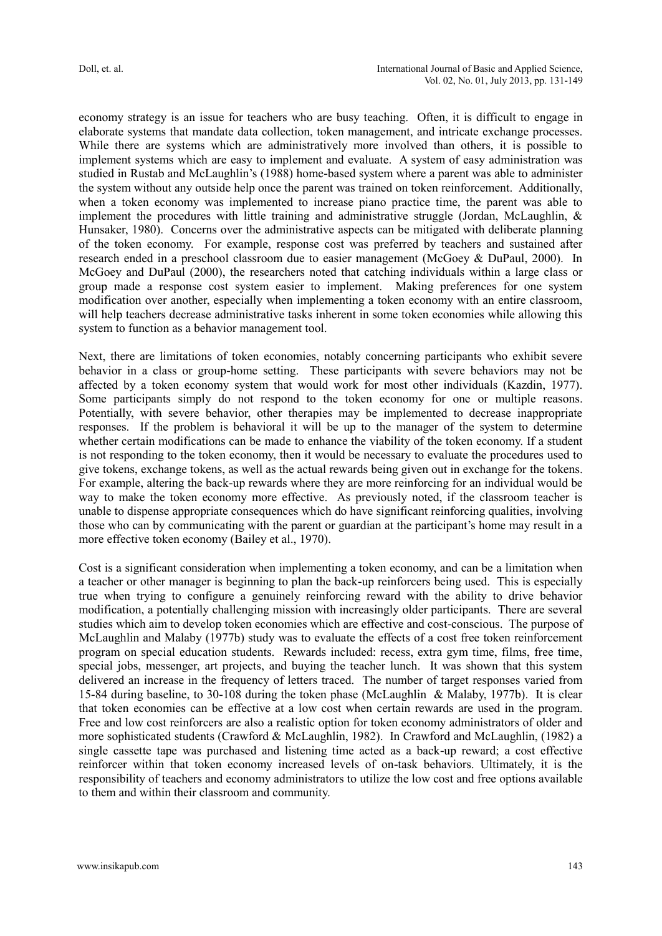economy strategy is an issue for teachers who are busy teaching. Often, it is difficult to engage in elaborate systems that mandate data collection, token management, and intricate exchange processes. While there are systems which are administratively more involved than others, it is possible to implement systems which are easy to implement and evaluate. A system of easy administration was studied in Rustab and McLaughlin"s (1988) home-based system where a parent was able to administer the system without any outside help once the parent was trained on token reinforcement. Additionally, when a token economy was implemented to increase piano practice time, the parent was able to implement the procedures with little training and administrative struggle (Jordan, McLaughlin,  $\&$ Hunsaker, 1980). Concerns over the administrative aspects can be mitigated with deliberate planning of the token economy. For example, response cost was preferred by teachers and sustained after research ended in a preschool classroom due to easier management (McGoey & DuPaul, 2000). In McGoey and DuPaul (2000), the researchers noted that catching individuals within a large class or group made a response cost system easier to implement. Making preferences for one system modification over another, especially when implementing a token economy with an entire classroom, will help teachers decrease administrative tasks inherent in some token economies while allowing this system to function as a behavior management tool.

Next, there are limitations of token economies, notably concerning participants who exhibit severe behavior in a class or group-home setting. These participants with severe behaviors may not be affected by a token economy system that would work for most other individuals (Kazdin, 1977). Some participants simply do not respond to the token economy for one or multiple reasons. Potentially, with severe behavior, other therapies may be implemented to decrease inappropriate responses. If the problem is behavioral it will be up to the manager of the system to determine whether certain modifications can be made to enhance the viability of the token economy. If a student is not responding to the token economy, then it would be necessary to evaluate the procedures used to give tokens, exchange tokens, as well as the actual rewards being given out in exchange for the tokens. For example, altering the back-up rewards where they are more reinforcing for an individual would be way to make the token economy more effective. As previously noted, if the classroom teacher is unable to dispense appropriate consequences which do have significant reinforcing qualities, involving those who can by communicating with the parent or guardian at the participant"s home may result in a more effective token economy (Bailey et al., 1970).

Cost is a significant consideration when implementing a token economy, and can be a limitation when a teacher or other manager is beginning to plan the back-up reinforcers being used. This is especially true when trying to configure a genuinely reinforcing reward with the ability to drive behavior modification, a potentially challenging mission with increasingly older participants. There are several studies which aim to develop token economies which are effective and cost-conscious. The purpose of McLaughlin and Malaby (1977b) study was to evaluate the effects of a cost free token reinforcement program on special education students. Rewards included: recess, extra gym time, films, free time, special jobs, messenger, art projects, and buying the teacher lunch. It was shown that this system delivered an increase in the frequency of letters traced. The number of target responses varied from 15-84 during baseline, to 30-108 during the token phase (McLaughlin & Malaby, 1977b). It is clear that token economies can be effective at a low cost when certain rewards are used in the program. Free and low cost reinforcers are also a realistic option for token economy administrators of older and more sophisticated students (Crawford & McLaughlin, 1982). In Crawford and McLaughlin, (1982) a single cassette tape was purchased and listening time acted as a back-up reward; a cost effective reinforcer within that token economy increased levels of on-task behaviors. Ultimately, it is the responsibility of teachers and economy administrators to utilize the low cost and free options available to them and within their classroom and community.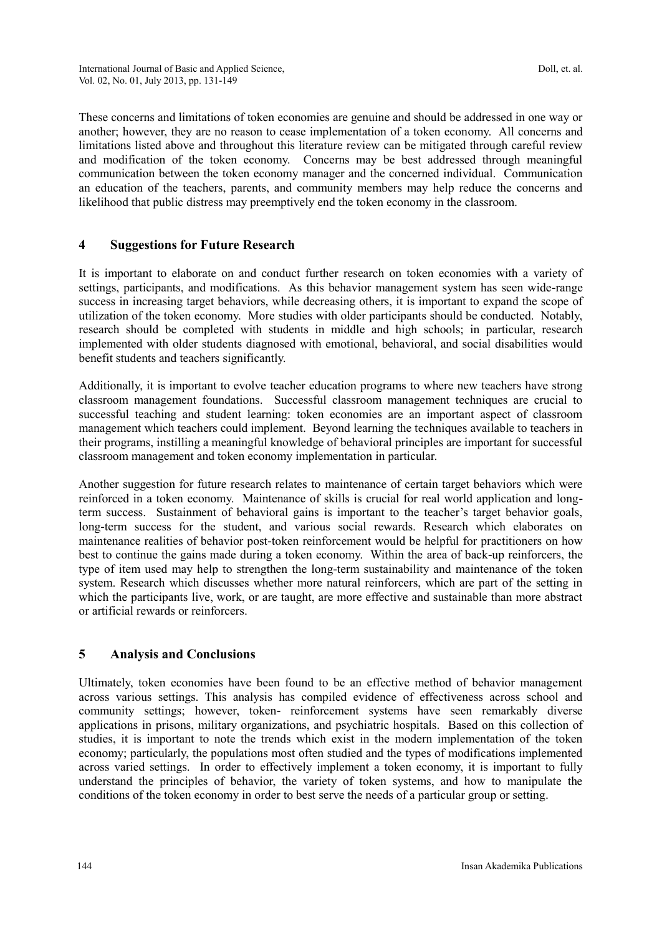These concerns and limitations of token economies are genuine and should be addressed in one way or another; however, they are no reason to cease implementation of a token economy. All concerns and limitations listed above and throughout this literature review can be mitigated through careful review and modification of the token economy. Concerns may be best addressed through meaningful communication between the token economy manager and the concerned individual. Communication an education of the teachers, parents, and community members may help reduce the concerns and likelihood that public distress may preemptively end the token economy in the classroom.

# **4 Suggestions for Future Research**

It is important to elaborate on and conduct further research on token economies with a variety of settings, participants, and modifications. As this behavior management system has seen wide-range success in increasing target behaviors, while decreasing others, it is important to expand the scope of utilization of the token economy. More studies with older participants should be conducted. Notably, research should be completed with students in middle and high schools; in particular, research implemented with older students diagnosed with emotional, behavioral, and social disabilities would benefit students and teachers significantly.

Additionally, it is important to evolve teacher education programs to where new teachers have strong classroom management foundations. Successful classroom management techniques are crucial to successful teaching and student learning: token economies are an important aspect of classroom management which teachers could implement. Beyond learning the techniques available to teachers in their programs, instilling a meaningful knowledge of behavioral principles are important for successful classroom management and token economy implementation in particular.

Another suggestion for future research relates to maintenance of certain target behaviors which were reinforced in a token economy. Maintenance of skills is crucial for real world application and longterm success. Sustainment of behavioral gains is important to the teacher"s target behavior goals, long-term success for the student, and various social rewards. Research which elaborates on maintenance realities of behavior post-token reinforcement would be helpful for practitioners on how best to continue the gains made during a token economy. Within the area of back-up reinforcers, the type of item used may help to strengthen the long-term sustainability and maintenance of the token system. Research which discusses whether more natural reinforcers, which are part of the setting in which the participants live, work, or are taught, are more effective and sustainable than more abstract or artificial rewards or reinforcers.

# **5 Analysis and Conclusions**

Ultimately, token economies have been found to be an effective method of behavior management across various settings. This analysis has compiled evidence of effectiveness across school and community settings; however, token- reinforcement systems have seen remarkably diverse applications in prisons, military organizations, and psychiatric hospitals. Based on this collection of studies, it is important to note the trends which exist in the modern implementation of the token economy; particularly, the populations most often studied and the types of modifications implemented across varied settings. In order to effectively implement a token economy, it is important to fully understand the principles of behavior, the variety of token systems, and how to manipulate the conditions of the token economy in order to best serve the needs of a particular group or setting.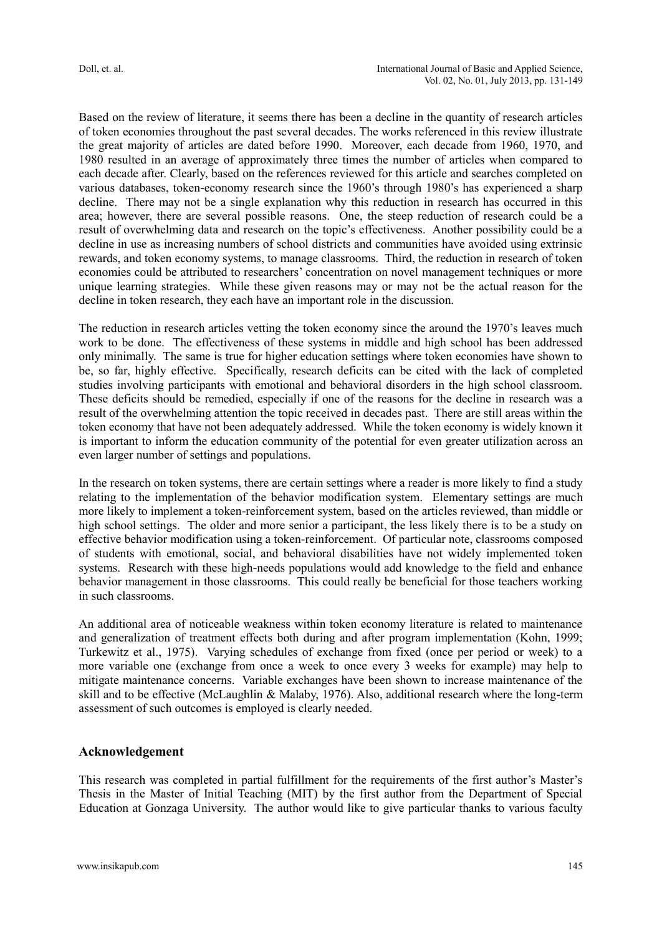Based on the review of literature, it seems there has been a decline in the quantity of research articles of token economies throughout the past several decades. The works referenced in this review illustrate the great majority of articles are dated before 1990. Moreover, each decade from 1960, 1970, and 1980 resulted in an average of approximately three times the number of articles when compared to each decade after. Clearly, based on the references reviewed for this article and searches completed on various databases, token-economy research since the 1960"s through 1980"s has experienced a sharp decline. There may not be a single explanation why this reduction in research has occurred in this area; however, there are several possible reasons. One, the steep reduction of research could be a result of overwhelming data and research on the topic"s effectiveness. Another possibility could be a decline in use as increasing numbers of school districts and communities have avoided using extrinsic rewards, and token economy systems, to manage classrooms. Third, the reduction in research of token economies could be attributed to researchers" concentration on novel management techniques or more unique learning strategies. While these given reasons may or may not be the actual reason for the decline in token research, they each have an important role in the discussion.

The reduction in research articles vetting the token economy since the around the 1970's leaves much work to be done. The effectiveness of these systems in middle and high school has been addressed only minimally. The same is true for higher education settings where token economies have shown to be, so far, highly effective. Specifically, research deficits can be cited with the lack of completed studies involving participants with emotional and behavioral disorders in the high school classroom. These deficits should be remedied, especially if one of the reasons for the decline in research was a result of the overwhelming attention the topic received in decades past. There are still areas within the token economy that have not been adequately addressed. While the token economy is widely known it is important to inform the education community of the potential for even greater utilization across an even larger number of settings and populations.

In the research on token systems, there are certain settings where a reader is more likely to find a study relating to the implementation of the behavior modification system. Elementary settings are much more likely to implement a token-reinforcement system, based on the articles reviewed, than middle or high school settings. The older and more senior a participant, the less likely there is to be a study on effective behavior modification using a token-reinforcement. Of particular note, classrooms composed of students with emotional, social, and behavioral disabilities have not widely implemented token systems. Research with these high-needs populations would add knowledge to the field and enhance behavior management in those classrooms. This could really be beneficial for those teachers working in such classrooms.

An additional area of noticeable weakness within token economy literature is related to maintenance and generalization of treatment effects both during and after program implementation (Kohn, 1999; Turkewitz et al., 1975). Varying schedules of exchange from fixed (once per period or week) to a more variable one (exchange from once a week to once every 3 weeks for example) may help to mitigate maintenance concerns. Variable exchanges have been shown to increase maintenance of the skill and to be effective (McLaughlin & Malaby, 1976). Also, additional research where the long-term assessment of such outcomes is employed is clearly needed.

#### **Acknowledgement**

This research was completed in partial fulfillment for the requirements of the first author"s Master"s Thesis in the Master of Initial Teaching (MIT) by the first author from the Department of Special Education at Gonzaga University. The author would like to give particular thanks to various faculty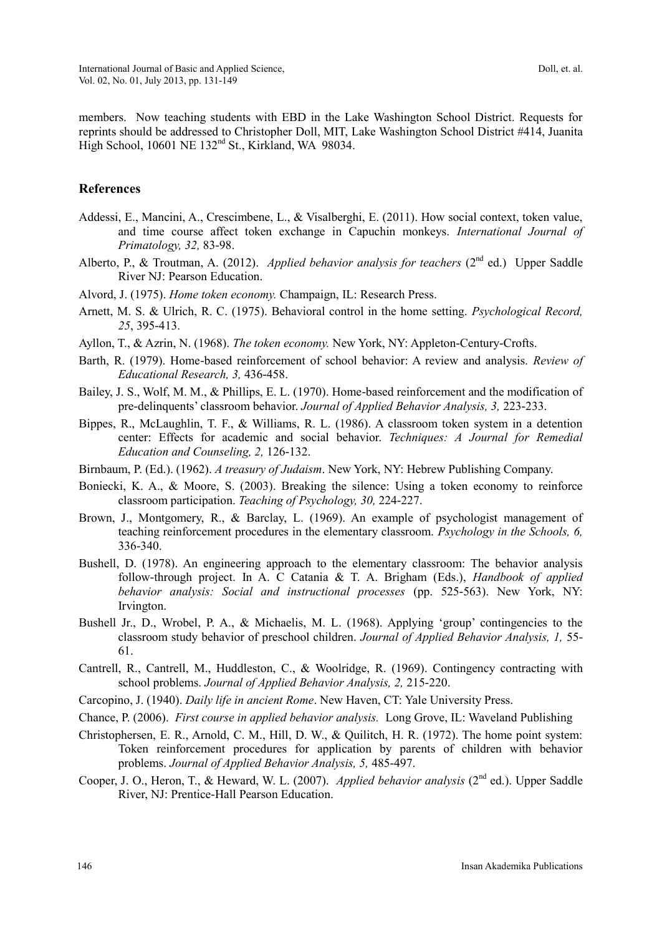members. Now teaching students with EBD in the Lake Washington School District. Requests for reprints should be addressed to Christopher Doll, MIT, Lake Washington School District #414, Juanita High School, 10601 NE 132<sup>nd</sup> St., Kirkland, WA 98034.

#### **References**

- Addessi, E., Mancini, A., Crescimbene, L., & Visalberghi, E. (2011). How social context, token value, and time course affect token exchange in Capuchin monkeys. *International Journal of Primatology, 32,* 83-98.
- Alberto, P., & Troutman, A. (2012). *Applied behavior analysis for teachers* (2<sup>nd</sup> ed.) Upper Saddle River NJ: Pearson Education.
- Alvord, J. (1975). *Home token economy.* Champaign, IL: Research Press.
- Arnett, M. S. & Ulrich, R. C. (1975). Behavioral control in the home setting. *Psychological Record, 25*, 395-413.
- Ayllon, T., & Azrin, N. (1968). *The token economy.* New York, NY: Appleton-Century-Crofts.
- Barth, R. (1979). Home-based reinforcement of school behavior: A review and analysis. *Review of Educational Research, 3,* 436-458.
- Bailey, J. S., Wolf, M. M., & Phillips, E. L. (1970). Home-based reinforcement and the modification of pre-delinquents" classroom behavior. *Journal of Applied Behavior Analysis, 3,* 223-233.
- Bippes, R., McLaughlin, T. F., & Williams, R. L. (1986). A classroom token system in a detention center: Effects for academic and social behavior. *Techniques: A Journal for Remedial Education and Counseling, 2,* 126-132.
- Birnbaum, P. (Ed.). (1962). *A treasury of Judaism*. New York, NY: Hebrew Publishing Company.
- Boniecki, K. A., & Moore, S. (2003). Breaking the silence: Using a token economy to reinforce classroom participation. *Teaching of Psychology, 30,* 224-227.
- Brown, J., Montgomery, R., & Barclay, L. (1969). An example of psychologist management of teaching reinforcement procedures in the elementary classroom. *Psychology in the Schools, 6,*  336-340.
- Bushell, D. (1978). An engineering approach to the elementary classroom: The behavior analysis follow-through project. In A. C Catania & T. A. Brigham (Eds.), *Handbook of applied behavior analysis: Social and instructional processes* (pp. 525-563). New York, NY: Irvington.
- Bushell Jr., D., Wrobel, P. A., & Michaelis, M. L. (1968). Applying 'group' contingencies to the classroom study behavior of preschool children. *Journal of Applied Behavior Analysis, 1,* 55- 61.
- Cantrell, R., Cantrell, M., Huddleston, C., & Woolridge, R. (1969). Contingency contracting with school problems. *Journal of Applied Behavior Analysis, 2,* 215-220.
- Carcopino, J. (1940). *Daily life in ancient Rome*. New Haven, CT: Yale University Press.
- Chance, P. (2006). *First course in applied behavior analysis.* Long Grove, IL: Waveland Publishing
- Christophersen, E. R., Arnold, C. M., Hill, D. W., & Quilitch, H. R. (1972). The home point system: Token reinforcement procedures for application by parents of children with behavior problems. *Journal of Applied Behavior Analysis, 5,* 485-497.
- Cooper, J. O., Heron, T., & Heward, W. L. (2007). *Applied behavior analysis* (2<sup>nd</sup> ed.). Upper Saddle River, NJ: Prentice-Hall Pearson Education.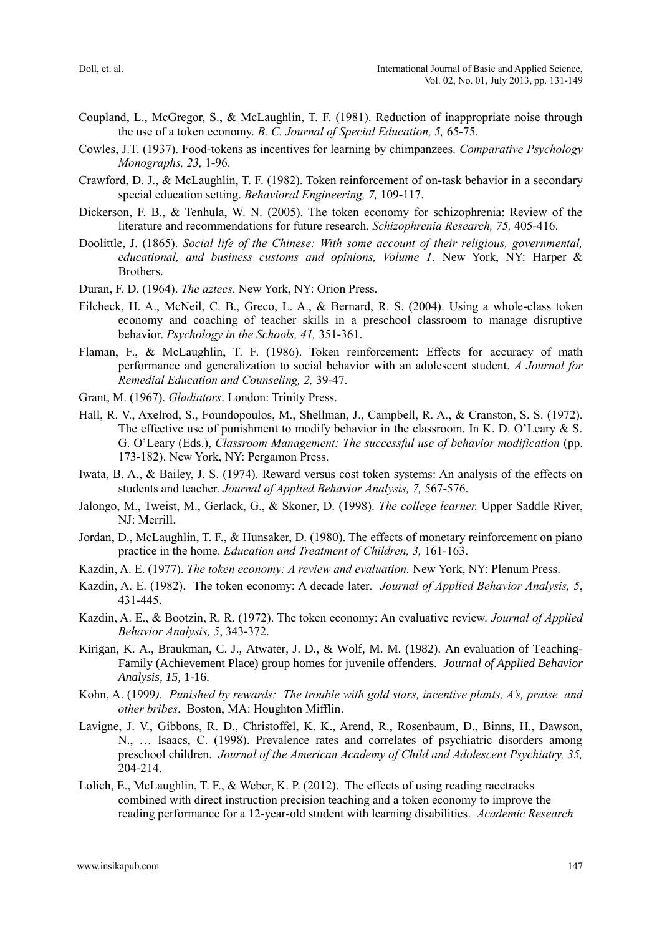- Coupland, L., McGregor, S., & McLaughlin, T. F. (1981). Reduction of inappropriate noise through the use of a token economy. *B. C. Journal of Special Education, 5,* 65-75.
- Cowles, J.T. (1937). Food-tokens as incentives for learning by chimpanzees. *Comparative Psychology Monographs, 23,* 1-96.
- Crawford, D. J., & McLaughlin, T. F. (1982). Token reinforcement of on-task behavior in a secondary special education setting. *Behavioral Engineering, 7,* 109-117.
- Dickerson, F. B., & Tenhula, W. N. (2005). The token economy for schizophrenia: Review of the literature and recommendations for future research. *Schizophrenia Research, 75,* 405-416.
- Doolittle, J. (1865). *Social life of the Chinese: With some account of their religious, governmental, educational, and business customs and opinions, Volume 1*. New York, NY: Harper & Brothers.
- Duran, F. D. (1964). *The aztecs*. New York, NY: Orion Press.
- Filcheck, H. A., McNeil, C. B., Greco, L. A., & Bernard, R. S. (2004). Using a whole-class token economy and coaching of teacher skills in a preschool classroom to manage disruptive behavior. *Psychology in the Schools, 41,* 351-361.
- Flaman, F., & McLaughlin, T. F. (1986). Token reinforcement: Effects for accuracy of math performance and generalization to social behavior with an adolescent student. *A Journal for Remedial Education and Counseling, 2,* 39-47.
- Grant, M. (1967). *Gladiators*. London: Trinity Press.
- Hall, R. V., Axelrod, S., Foundopoulos, M., Shellman, J., Campbell, R. A., & Cranston, S. S. (1972). The effective use of punishment to modify behavior in the classroom. In K. D. O"Leary & S. G. O'Leary (Eds.), *Classroom Management: The successful use of behavior modification* (pp. 173-182). New York, NY: Pergamon Press.
- Iwata, B. A., & Bailey, J. S. (1974). Reward versus cost token systems: An analysis of the effects on students and teacher. *Journal of Applied Behavior Analysis, 7,* 567-576.
- Jalongo, M., Tweist, M., Gerlack, G., & Skoner, D. (1998). *The college learner.* Upper Saddle River, NJ: Merrill.
- Jordan, D., McLaughlin, T. F., & Hunsaker, D. (1980). The effects of monetary reinforcement on piano practice in the home. *Education and Treatment of Children, 3,* 161-163.
- Kazdin, A. E. (1977). *The token economy: A review and evaluation.* New York, NY: Plenum Press.
- Kazdin, A. E. (1982). The token economy: A decade later*. Journal of Applied Behavior Analysis, 5*, 431-445.
- Kazdin, A. E., & Bootzin, R. R. (1972). The token economy: An evaluative review. *Journal of Applied Behavior Analysis, 5*, 343-372.
- Kirigan, K. A., Braukman, C. J., Atwater, J. D., & Wolf, M. M. (1982). An evaluation of Teaching-Family (Achievement Place) group homes for juvenile offenders. *Journal of Applied Behavior Analysis, 15,* 1-16.
- Kohn, A. (1999*). Punished by rewards: The trouble with gold stars, incentive plants, A's, praise and other bribes*. Boston, MA: Houghton Mifflin.
- Lavigne, J. V., Gibbons, R. D., Christoffel, K. K., Arend, R., Rosenbaum, D., Binns, H., Dawson, N., … Isaacs, C. (1998). Prevalence rates and correlates of psychiatric disorders among preschool children. *Journal of the American Academy of Child and Adolescent Psychiatry, 35,*  204-214.
- Lolich, E., McLaughlin, T. F., & Weber, K. P. (2012). The effects of using reading racetracks combined with direct instruction precision teaching and a token economy to improve the reading performance for a 12-year-old student with learning disabilities. *Academic Research*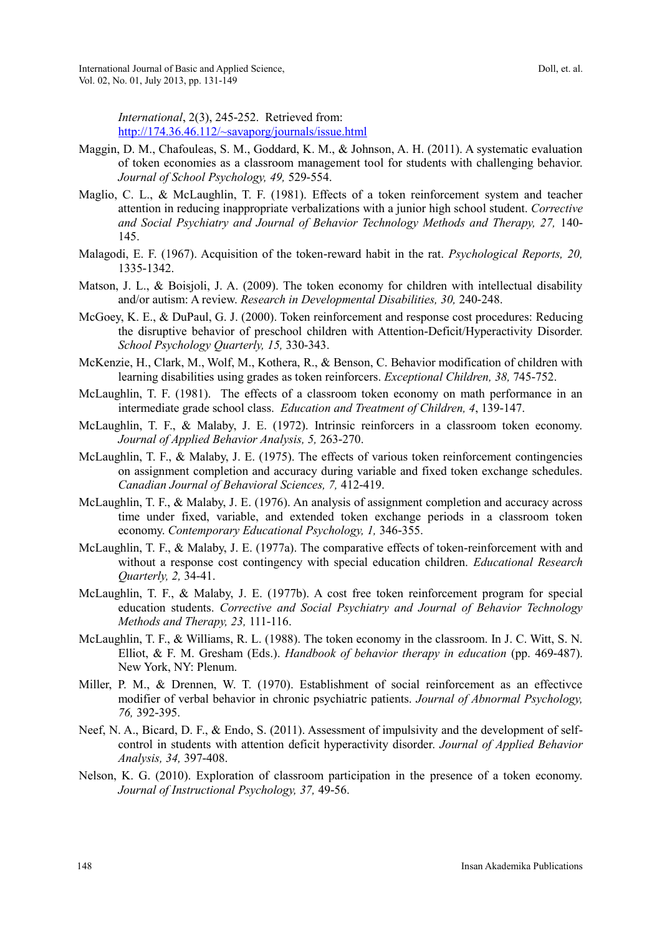Doll, et. al.

*International*, 2(3), 245-252. Retrieved from: <http://174.36.46.112/~savaporg/journals/issue.html>

- Maggin, D. M., Chafouleas, S. M., Goddard, K. M., & Johnson, A. H. (2011). A systematic evaluation of token economies as a classroom management tool for students with challenging behavior. *Journal of School Psychology, 49,* 529-554.
- Maglio, C. L., & McLaughlin, T. F. (1981). Effects of a token reinforcement system and teacher attention in reducing inappropriate verbalizations with a junior high school student. *Corrective*  and Social Psychiatry and Journal of Behavior Technology Methods and Therapy, 27, 140-145.
- Malagodi, E. F. (1967). Acquisition of the token-reward habit in the rat. *Psychological Reports, 20,*  1335-1342.
- Matson, J. L., & Boisjoli, J. A. (2009). The token economy for children with intellectual disability and/or autism: A review. *Research in Developmental Disabilities, 30,* 240-248.
- McGoey, K. E., & DuPaul, G. J. (2000). Token reinforcement and response cost procedures: Reducing the disruptive behavior of preschool children with Attention-Deficit/Hyperactivity Disorder. *School Psychology Quarterly, 15,* 330-343.
- McKenzie, H., Clark, M., Wolf, M., Kothera, R., & Benson, C. Behavior modification of children with learning disabilities using grades as token reinforcers. *Exceptional Children, 38,* 745-752.
- McLaughlin, T. F. (1981). The effects of a classroom token economy on math performance in an intermediate grade school class. *Education and Treatment of Children, 4*, 139-147.
- McLaughlin, T. F., & Malaby, J. E. (1972). Intrinsic reinforcers in a classroom token economy. *Journal of Applied Behavior Analysis, 5,* 263-270.
- McLaughlin, T. F., & Malaby, J. E. (1975). The effects of various token reinforcement contingencies on assignment completion and accuracy during variable and fixed token exchange schedules. *Canadian Journal of Behavioral Sciences, 7,* 412-419.
- McLaughlin, T. F., & Malaby, J. E. (1976). An analysis of assignment completion and accuracy across time under fixed, variable, and extended token exchange periods in a classroom token economy. *Contemporary Educational Psychology, 1,* 346-355.
- McLaughlin, T. F., & Malaby, J. E. (1977a). The comparative effects of token-reinforcement with and without a response cost contingency with special education children. *Educational Research Quarterly, 2,* 34-41.
- McLaughlin, T. F., & Malaby, J. E. (1977b). A cost free token reinforcement program for special education students. *Corrective and Social Psychiatry and Journal of Behavior Technology Methods and Therapy, 23,* 111-116.
- McLaughlin, T. F., & Williams, R. L. (1988). The token economy in the classroom. In J. C. Witt, S. N. Elliot, & F. M. Gresham (Eds.). *Handbook of behavior therapy in education* (pp. 469-487). New York, NY: Plenum.
- Miller, P. M., & Drennen, W. T. (1970). Establishment of social reinforcement as an effectivce modifier of verbal behavior in chronic psychiatric patients. *Journal of Abnormal Psychology, 76,* 392-395.
- Neef, N. A., Bicard, D. F., & Endo, S. (2011). Assessment of impulsivity and the development of selfcontrol in students with attention deficit hyperactivity disorder. *Journal of Applied Behavior Analysis, 34,* 397-408.
- Nelson, K. G. (2010). Exploration of classroom participation in the presence of a token economy. *Journal of Instructional Psychology, 37,* 49-56.